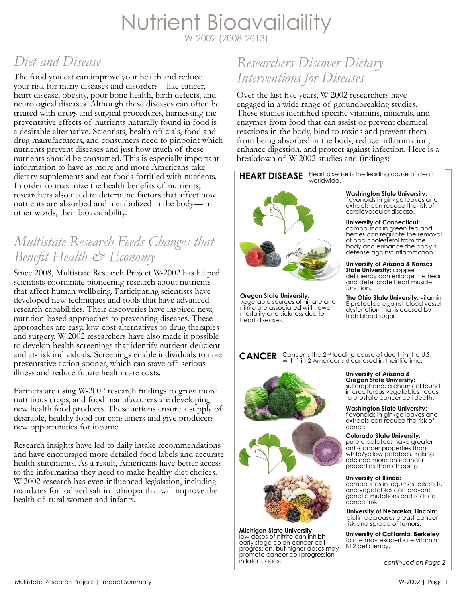# Nutrient Bioavailaility W-2002 (2008-2013)

# *Diet and Disease*

The food you eat can improve your health and reduce your risk for many diseases and disorders—like cancer, heart disease, obesity, poor bone health, birth defects, and neurological diseases. Although these diseases can often be treated with drugs and surgical procedures, harnessing the preventative effects of nutrients naturally found in food is a desirable alternative. Scientists, health officials, food and drug manufacturers, and consumers need to pinpoint which nutrients prevent diseases and just how much of these nutrients should be consumed. This is especially important information to have as more and more Americans take dietary supplements and eat foods fortified with nutrients. In order to maximize the health benefits of nutrients, researchers also need to determine factors that affect how nutrients are absorbed and metabolized in the body—in other words, their bioavailability.

# *Multistate Research Feeds Changes that Benefit Health & Economy*

Since 2008, Multistate Research Project W-2002 has helped scientists coordinate pioneering research about nutrients that affect human wellbeing. Participating scientists have developed new techniques and tools that have advanced research capabilities. Their discoveries have inspired new, nutrition-based approaches to preventing diseases. These approaches are easy, low-cost alternatives to drug therapies and surgery. W-2002 researchers have also made it possible to develop health screenings that identify nutrient-deficient and at-risk individuals. Screenings enable individuals to take preventative action sooner, which can stave off serious illness and reduce future health care costs.

Farmers are using W-2002 research findings to grow more nutritious crops, and food manufacturers are developing new health food products. These actions ensure a supply of desirable, healthy food for consumers and give producers new opportunities for income.

Research insights have led to daily intake recommendations and have encouraged more detailed food labels and accurate health statements. As a result, Americans have better access to the information they need to make healthy diet choices. W-2002 research has even influenced legislation, including mandates for iodized salt in Ethiopia that will improve the health of rural women and infants.

# *Researchers Discover Dietary Interventions for Diseases*

Over the last five years, W-2002 researchers have engaged in a wide range of groundbreaking studies. These studies identified specific vitamins, minerals, and enzymes from food that can assist or prevent chemical reactions in the body, bind to toxins and prevent them from being absorbed in the body, reduce inflammation, enhance digestion, and protect against infection. Here is a breakdown of W-2002 studies and findings:

**HEART DISEASE** Heart disease is the leading cause of death worldwide.



**Oregon State University:**  vegetable sources of nitrate and nitrite are associated with lower mortality and sickness due to heart diseases.

**Washington State University:**  flavonoids in ginkgo leaves and extracts can reduce the risk of cardiovascular disease.

**University of Connecticut:**  compounds in green tea and berries can regulate the removal of bad cholesterol from the body and enhance the body's defense against inflammation.

## **University of Arizona & Kansas**

**State University:** copper deficiency can enlarge the heart and deteriorate heart muscle function.

**The Ohio State University:** vitamin E protected against blood vessel dysfunction that is caused by high blood sugar.

**CANCER** Cancer is the 2<sup>nd</sup> leading cause of death in the U.S.<br>with 1 in 2 Americans diagnosed in their lifetime.





**Michigan State University:**  low doses of nitrite can inhibit early stage colon cancer cell progression, but higher doses may program cancer cell progression in later stages.

**University of Arizona & Oregon State University:**

sulforaphane, a chemical found in cruciferous vegetables, leads to prostate cancer cell death.

**Washington State University:**  flavonoids in ginkgo leaves and extracts can reduce the risk of cancer.

**Colorado State University:**  purple potatoes have greater anti-cancer properties than white/yellow potatoes. Baking retained more anti-cancer properties than chipping.

### **University of Illinois:**

compounds in legumes, oilseeds, and vegetables can prevent genetic mutations and reduce cancer risk.

**University of Nebraska, Lincoln:**  biotin decreases breast cancer risk and spread of tumors.

**University of California, Berkeley:**  folate may exacerbate vitamin B12 deficiency.

*continued on Page 2*